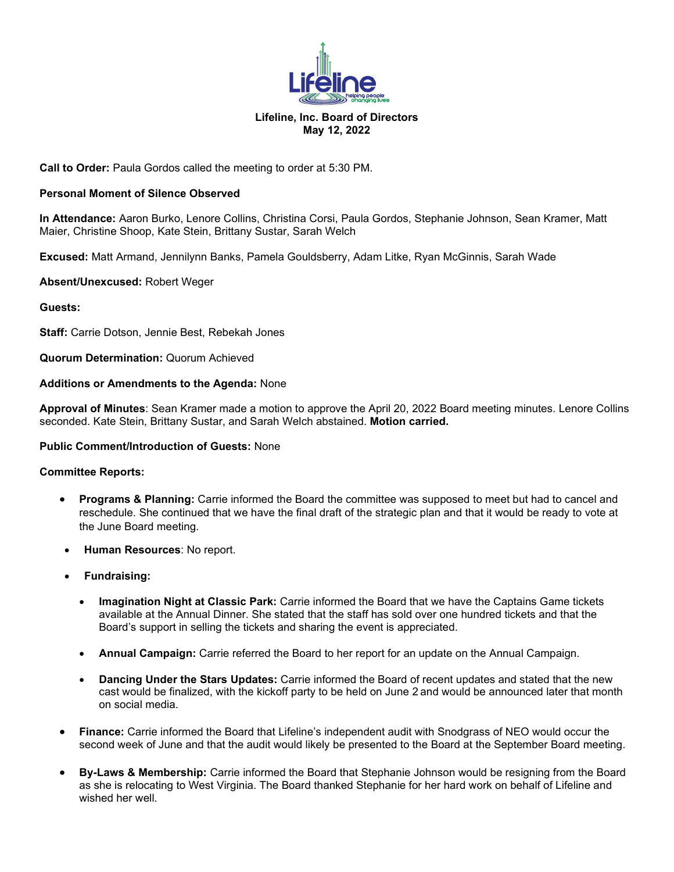

## **Lifeline, Inc. Board of Directors May 12, 2022**

# **Call to Order:** Paula Gordos called the meeting to order at 5:30 PM.

# **Personal Moment of Silence Observed**

**In Attendance:** Aaron Burko, Lenore Collins, Christina Corsi, Paula Gordos, Stephanie Johnson, Sean Kramer, Matt Maier, Christine Shoop, Kate Stein, Brittany Sustar, Sarah Welch

**Excused:** Matt Armand, Jennilynn Banks, Pamela Gouldsberry, Adam Litke, Ryan McGinnis, Sarah Wade

### **Absent/Unexcused:** Robert Weger

# **Guests:**

**Staff:** Carrie Dotson, Jennie Best, Rebekah Jones

**Quorum Determination:** Quorum Achieved

### **Additions or Amendments to the Agenda:** None

**Approval of Minutes**: Sean Kramer made a motion to approve the April 20, 2022 Board meeting minutes. Lenore Collins seconded. Kate Stein, Brittany Sustar, and Sarah Welch abstained. **Motion carried.**

### **Public Comment/Introduction of Guests:** None

### **Committee Reports:**

- **Programs & Planning:** Carrie informed the Board the committee was supposed to meet but had to cancel and reschedule. She continued that we have the final draft of the strategic plan and that it would be ready to vote at the June Board meeting.
- **Human Resources**: No report.
- **Fundraising:**
	- **Imagination Night at Classic Park:** Carrie informed the Board that we have the Captains Game tickets available at the Annual Dinner. She stated that the staff has sold over one hundred tickets and that the Board's support in selling the tickets and sharing the event is appreciated.
	- **Annual Campaign:** Carrie referred the Board to her report for an update on the Annual Campaign.
	- **Dancing Under the Stars Updates:** Carrie informed the Board of recent updates and stated that the new cast would be finalized, with the kickoff party to be held on June 2 and would be announced later that month on social media.
- **Finance:** Carrie informed the Board that Lifeline's independent audit with Snodgrass of NEO would occur the second week of June and that the audit would likely be presented to the Board at the September Board meeting.
- **By-Laws & Membership:** Carrie informed the Board that Stephanie Johnson would be resigning from the Board as she is relocating to West Virginia. The Board thanked Stephanie for her hard work on behalf of Lifeline and wished her well.